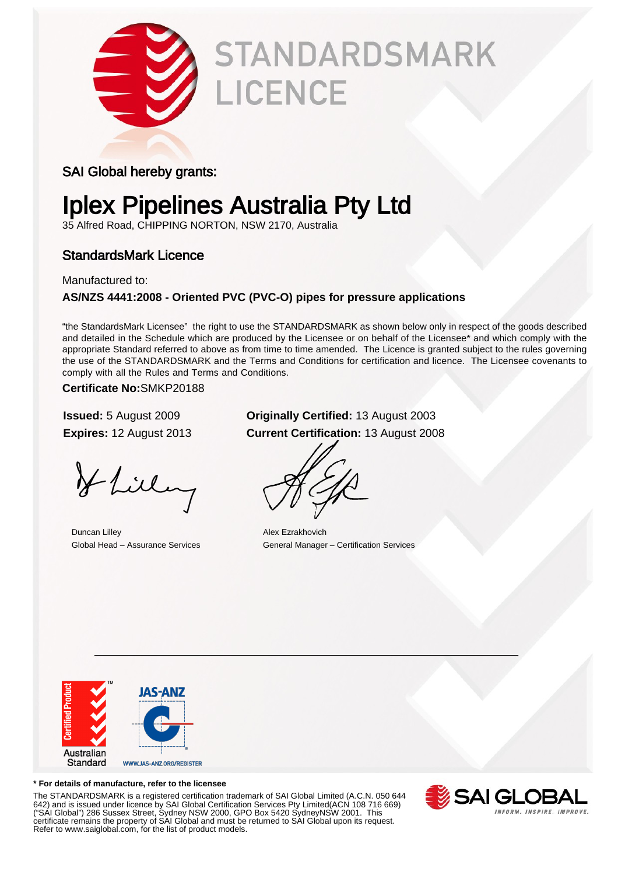

# **STANDARDSMARK LICENCE**

### SAI Global hereby grants:

### Iplex Pipelines Australia Pty Ltd

35 Alfred Road, CHIPPING NORTON, NSW 2170, Australia

### StandardsMark Licence

Manufactured to:

### **AS/NZS 4441:2008 - Oriented PVC (PVC-O) pipes for pressure applications**

"the StandardsMark Licensee" the right to use the STANDARDSMARK as shown below only in respect of the goods described and detailed in the Schedule which are produced by the Licensee or on behalf of the Licensee\* and which comply with the appropriate Standard referred to above as from time to time amended. The Licence is granted subject to the rules governing the use of the STANDARDSMARK and the Terms and Conditions for certification and licence. The Licensee covenants to comply with all the Rules and Terms and Conditions.

**Certificate No:**SMKP20188

Hlilling

Duncan Lilley Alex Ezrakhovich

### **Issued:** 5 August 2009 **Originally Certified:** 13 August 2003 **Expires:** 12 August 2013 **Current Certification:** 13 August 2008

Global Head – Assurance Services General Manager – Certification Services



#### **\* For details of manufacture, refer to the licensee**

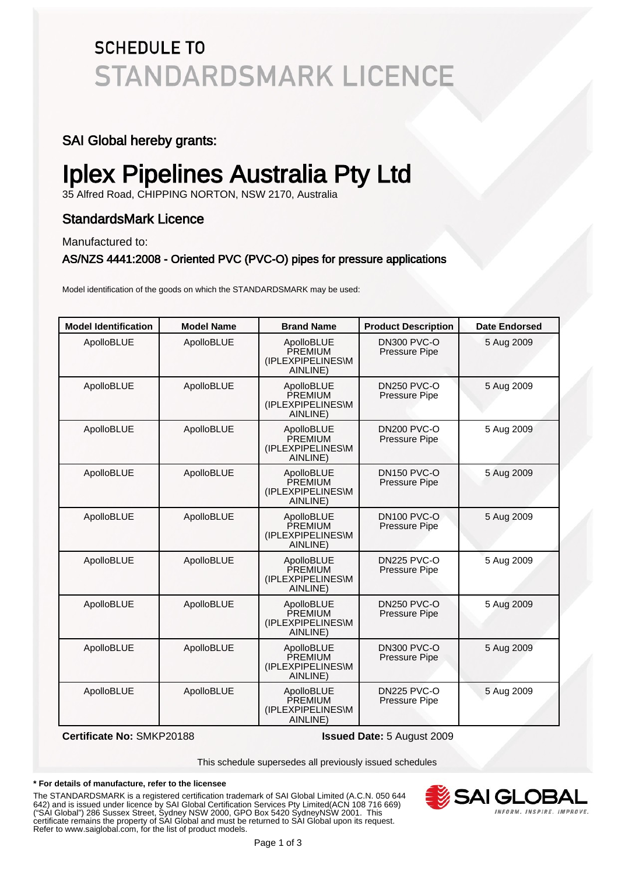### **SCHEDULE TO STANDARDSMARK LICENCE**

### SAI Global hereby grants:

## Iplex Pipelines Australia Pty Ltd

35 Alfred Road, CHIPPING NORTON, NSW 2170, Australia

### StandardsMark Licence

Manufactured to:

#### AS/NZS 4441:2008 - Oriented PVC (PVC-O) pipes for pressure applications

Model identification of the goods on which the STANDARDSMARK may be used:

| <b>Model Identification</b> | <b>Model Name</b> | <b>Brand Name</b>                                             | <b>Product Description</b>                 | <b>Date Endorsed</b> |
|-----------------------------|-------------------|---------------------------------------------------------------|--------------------------------------------|----------------------|
| ApolloBLUE                  | ApolloBLUE        | ApolloBLUE<br>PREMIUM<br>(IPLEXPIPELINES\M<br>AINLINE)        | DN300 PVC-O<br>Pressure Pipe               | 5 Aug 2009           |
| ApolloBLUE                  | ApolloBLUE        | ApolloBLUE<br>PREMIUM<br>(IPLEXPIPELINES\M<br>AINLINE)        | <b>DN250 PVC-O</b><br>Pressure Pipe        | 5 Aug 2009           |
| ApolloBLUE                  | ApolloBLUE        | ApolloBLUE<br>PREMIUM<br>(IPLEXPIPELINES\M<br>AINLINE)        | <b>DN200 PVC-O</b><br>Pressure Pipe        | 5 Aug 2009           |
| ApolloBLUE                  | ApolloBLUE        | ApolloBLUE<br>PREMIUM<br>(IPLEXPIPELINES\M<br>AINLINE)        | <b>DN150 PVC-O</b><br><b>Pressure Pipe</b> | 5 Aug 2009           |
| ApolloBLUE                  | ApolloBLUE        | ApolloBLUE<br><b>PREMIUM</b><br>(IPLEXPIPELINES\M<br>AINLINE) | <b>DN100 PVC-O</b><br>Pressure Pipe        | 5 Aug 2009           |
| ApolloBLUE                  | ApolloBLUE        | ApolloBLUE<br>PREMIUM<br>(IPLEXPIPELINES\M<br>AINLINE)        | DN225 PVC-O<br>Pressure Pipe               | 5 Aug 2009           |
| ApolloBLUE                  | ApolloBLUE        | ApolloBLUE<br>PREMIUM<br>(IPLEXPIPELINES\M<br>AINLINE)        | <b>DN250 PVC-O</b><br><b>Pressure Pipe</b> | 5 Aug 2009           |
| ApolloBLUE                  | ApolloBLUE        | ApolloBLUE<br><b>PREMIUM</b><br>(IPLEXPIPELINES\M<br>AINLINE) | <b>DN300 PVC-O</b><br>Pressure Pipe        | 5 Aug 2009           |
| ApolloBLUE                  | ApolloBLUE        | ApolloBLUE<br>PREMIUM<br>(IPLEXPIPELINES\M<br>AINLINE)        | <b>DN225 PVC-O</b><br><b>Pressure Pipe</b> | 5 Aug 2009           |

**Certificate No:** SMKP20188 **Issued Date:** 5 August 2009

This schedule supersedes all previously issued schedules

#### **\* For details of manufacture, refer to the licensee**

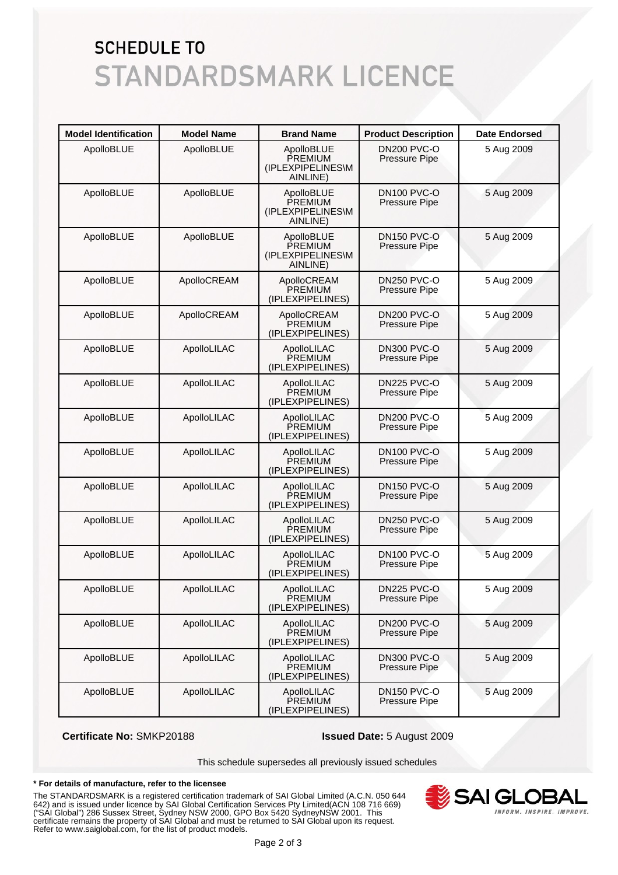### **SCHEDULE TO STANDARDSMARK LICENCE**

| <b>Model Identification</b> | <b>Model Name</b> | <b>Brand Name</b>                                      | <b>Product Description</b>                 | <b>Date Endorsed</b> |
|-----------------------------|-------------------|--------------------------------------------------------|--------------------------------------------|----------------------|
| ApolloBLUE                  | ApolloBLUE        | ApolloBLUE<br>PREMIUM<br>(IPLEXPIPELINES\M<br>AINLINE) | <b>DN200 PVC-O</b><br>Pressure Pipe        | 5 Aug 2009           |
| ApolloBLUE                  | ApolloBLUE        | ApolloBLUE<br>PREMIUM<br>(IPLEXPIPELINES\M<br>AINLINE) | <b>DN100 PVC-O</b><br>Pressure Pipe        | 5 Aug 2009           |
| ApolloBLUE                  | ApolloBLUE        | ApolloBLUE<br>PREMIUM<br>(IPLEXPIPELINES\M<br>AINLINE) | <b>DN150 PVC-O</b><br><b>Pressure Pipe</b> | 5 Aug 2009           |
| ApolloBLUE                  | ApolloCREAM       | ApolloCREAM<br><b>PREMIUM</b><br>(IPLEXPIPELINES)      | <b>DN250 PVC-O</b><br>Pressure Pipe        | 5 Aug 2009           |
| ApolloBLUE                  | ApolloCREAM       | ApolloCREAM<br>PREMIUM<br>(IPLEXPIPELINES)             | <b>DN200 PVC-O</b><br>Pressure Pipe        | 5 Aug 2009           |
| ApolloBLUE                  | ApolloLILAC       | ApolloLILAC<br>PREMIUM<br>(IPLEXPIPELINES)             | DN300 PVC-O<br>Pressure Pipe               | 5 Aug 2009           |
| ApolloBLUE                  | ApolloLILAC       | ApolloLILAC<br>PREMIUM<br>(IPLEXPIPELINES)             | <b>DN225 PVC-O</b><br>Pressure Pipe        | 5 Aug 2009           |
| ApolloBLUE                  | ApolloLILAC       | ApolloLILAC<br>PREMIUM<br>(IPLEXPIPELINES)             | <b>DN200 PVC-O</b><br>Pressure Pipe        | 5 Aug 2009           |
| ApolloBLUE                  | ApolloLILAC       | ApolloLILAC<br>PREMIUM<br>(IPLEXPIPELINES)             | <b>DN100 PVC-O</b><br>Pressure Pipe        | 5 Aug 2009           |
| ApolloBLUE                  | ApolloLILAC       | ApolloLILAC<br>PREMIUM<br>(IPLEXPIPELINES)             | <b>DN150 PVC-O</b><br>Pressure Pipe        | 5 Aug 2009           |
| ApolloBLUE                  | ApolloLILAC       | ApolloLILAC<br><b>PREMIUM</b><br>(IPLEXPIPELINES)      | <b>DN250 PVC-O</b><br>Pressure Pipe        | 5 Aug 2009           |
| ApolloBLUE                  | ApolloLILAC       | ApolloLILAC<br>PREMIUM<br>(IPLEXPIPELINES)             | <b>DN100 PVC-O</b><br>Pressure Pipe        | 5 Aug 2009           |
| ApolloBLUE                  | ApolloLILAC       | ApolloLILAC<br><b>PREMIUM</b><br>(IPLEXPIPELINES)      | DN225 PVC-O<br>Pressure Pipe               | 5 Aug 2009           |
| ApolloBLUE                  | ApolloLILAC       | ApolloLILAC<br>PREMIUM<br>(IPLEXPIPELINES)             | <b>DN200 PVC-O</b><br>Pressure Pipe        | 5 Aug 2009           |
| ApolloBLUE                  | ApolloLILAC       | ApolloLILAC<br>PREMIUM<br>(IPLEXPIPELINES)             | DN300 PVC-O<br>Pressure Pipe               | 5 Aug 2009           |
| ApolloBLUE                  | ApolloLILAC       | ApolloLILAC<br>PREMIUM<br>(IPLEXPIPELINES)             | <b>DN150 PVC-O</b><br>Pressure Pipe        | 5 Aug 2009           |

**Certificate No:** SMKP20188 **Issued Date:** 5 August 2009

This schedule supersedes all previously issued schedules

#### **\* For details of manufacture, refer to the licensee**